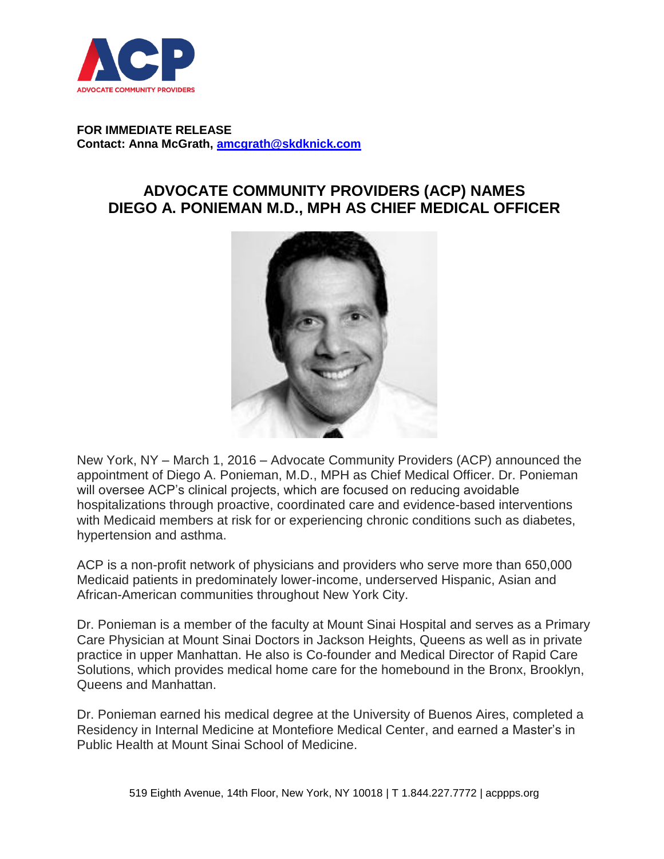

## **FOR IMMEDIATE RELEASE Contact: Anna McGrath, [amcgrath@skdknick.com](mailto:amcgrath@skdknick.com)**

## **ADVOCATE COMMUNITY PROVIDERS (ACP) NAMES DIEGO A. PONIEMAN M.D., MPH AS CHIEF MEDICAL OFFICER**



New York, NY – March 1, 2016 – Advocate Community Providers (ACP) announced the appointment of Diego A. Ponieman, M.D., MPH as Chief Medical Officer. Dr. Ponieman will oversee ACP's clinical projects, which are focused on reducing avoidable hospitalizations through proactive, coordinated care and evidence-based interventions with Medicaid members at risk for or experiencing chronic conditions such as diabetes, hypertension and asthma.

ACP is a non-profit network of physicians and providers who serve more than 650,000 Medicaid patients in predominately lower-income, underserved Hispanic, Asian and African-American communities throughout New York City.

Dr. Ponieman is a member of the faculty at Mount Sinai Hospital and serves as a Primary Care Physician at Mount Sinai Doctors in Jackson Heights, Queens as well as in private practice in upper Manhattan. He also is Co-founder and Medical Director of Rapid Care Solutions, which provides medical home care for the homebound in the Bronx, Brooklyn, Queens and Manhattan.

Dr. Ponieman earned his medical degree at the University of Buenos Aires, completed a Residency in Internal Medicine at Montefiore Medical Center, and earned a Master's in Public Health at Mount Sinai School of Medicine.